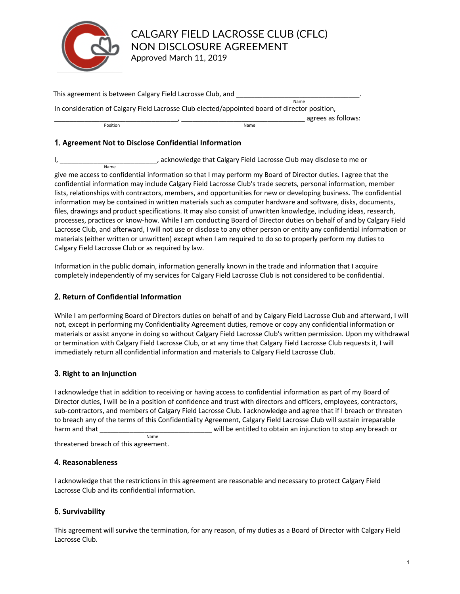

This agreement is between Calgary Field Lacrosse Club, and \_\_\_\_\_\_\_\_\_\_\_\_\_\_\_\_\_\_\_\_\_\_ In consideration of Calgary Field Lacrosse Club elected/appointed board of director position, Name agrees as follows: Position

## 1. Agreement Not to Disclose Confidential Information

I, \_\_\_\_\_\_\_\_\_\_\_\_\_\_\_\_\_\_\_\_\_\_\_\_\_\_\_\_\_\_\_, acknowledge that Calgary Field Lacrosse Club may disclose to me or

give me access to confidential information so that I may perform my Board of Director duties. I agree that the confidential information may include Calgary Field Lacrosse Club's trade secrets, personal information, member lists, relationships with contractors, members, and opportunities for new or developing business. The confidential information may be contained in written materials such as computer hardware and software, disks, documents, files, drawings and product specifications. It may also consist of unwritten knowledge, including ideas, research, processes, practices or know-how. While I am conducting Board of Director duties on behalf of and by Calgary Field Lacrosse Club, and afterward, I will not use or disclose to any other person or entity any confidential information or materials (either written or unwritten) except when I am required to do so to properly perform my duties to Calgary Field Lacrosse Club or as required by law.

Information in the public domain, information generally known in the trade and information that I acquire completely independently of my services for Calgary Field Lacrosse Club is not considered to be confidential.

### \$# **Return of Confidential Information**

While I am performing Board of Directors duties on behalf of and by Calgary Field Lacrosse Club and afterward, I will not, except in performing my Confidentiality Agreement duties, remove or copy any confidential information or materials or assist anyone in doing so without Calgary Field Lacrosse Club's written permission. Upon my withdrawal or termination with Calgary Field Lacrosse Club, or at any time that Calgary Field Lacrosse Club requests it, I will immediately return all confidential information and materials to Calgary Field Lacrosse Club.

# **3. Right to an Injunction**

I acknowledge that in addition to receiving or having access to confidential information as part of my Board of Director duties, I will be in a position of confidence and trust with directors and officers, employees, contractors, sub-contractors, and members of Calgary Field Lacrosse Club. I acknowledge and agree that if I breach or threaten to breach any of the terms of this Confidentiality Agreement, Calgary Field Lacrosse Club will sustain irreparable harm and that \_\_\_\_\_\_\_\_\_\_\_\_\_\_\_\_\_\_\_\_\_\_\_\_\_\_\_\_\_\_ will be entitled to obtain an injunction to stop any breach or Name

threatened breach of this agreement.

### **4. Reasonableness**

I acknowledge that the restrictions in this agreement are reasonable and necessary to protect Calgary Field Lacrosse Club and its confidential information.

# 5. Survivability

This agreement will survive the termination, for any reason, of my duties as a Board of Director with Calgary Field Lacrosse Club.